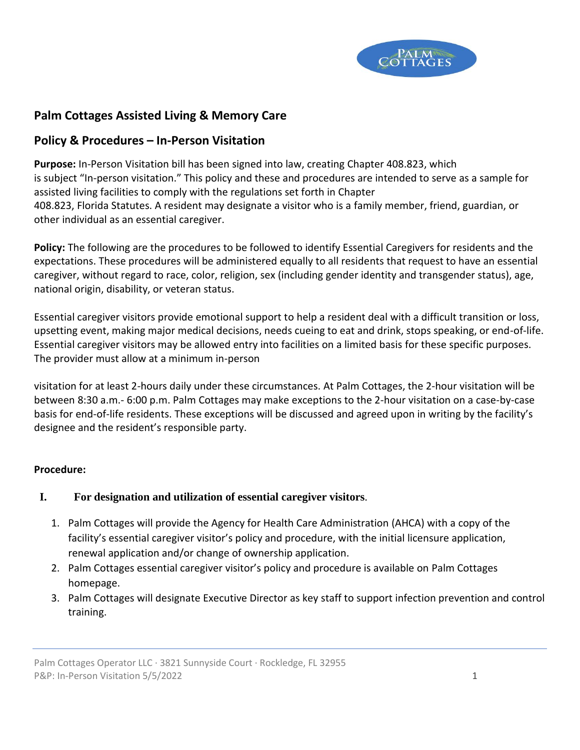

# **Palm Cottages Assisted Living & Memory Care**

### **Policy & Procedures – In-Person Visitation**

**Purpose:** In-Person Visitation bill has been signed into law, creating Chapter 408.823, which is subject "In-person visitation." This policy and these and procedures are intended to serve as a sample for assisted living facilities to comply with the regulations set forth in Chapter 408.823, Florida Statutes. A resident may designate a visitor who is a family member, friend, guardian, or other individual as an essential caregiver.

**Policy:** The following are the procedures to be followed to identify Essential Caregivers for residents and the expectations. These procedures will be administered equally to all residents that request to have an essential caregiver, without regard to race, color, religion, sex (including gender identity and transgender status), age, national origin, disability, or veteran status.

Essential caregiver visitors provide emotional support to help a resident deal with a difficult transition or loss, upsetting event, making major medical decisions, needs cueing to eat and drink, stops speaking, or end-of-life. Essential caregiver visitors may be allowed entry into facilities on a limited basis for these specific purposes. The provider must allow at a minimum in-person

visitation for at least 2-hours daily under these circumstances. At Palm Cottages, the 2-hour visitation will be between 8:30 a.m.- 6:00 p.m. Palm Cottages may make exceptions to the 2-hour visitation on a case-by-case basis for end-of-life residents. These exceptions will be discussed and agreed upon in writing by the facility's designee and the resident's responsible party.

#### **Procedure:**

#### **I. For designation and utilization of essential caregiver visitors**.

- 1. Palm Cottages will provide the Agency for Health Care Administration (AHCA) with a copy of the facility's essential caregiver visitor's policy and procedure, with the initial licensure application, renewal application and/or change of ownership application.
- 2. Palm Cottages essential caregiver visitor's policy and procedure is available on Palm Cottages homepage.
- 3. Palm Cottages will designate Executive Director as key staff to support infection prevention and control training.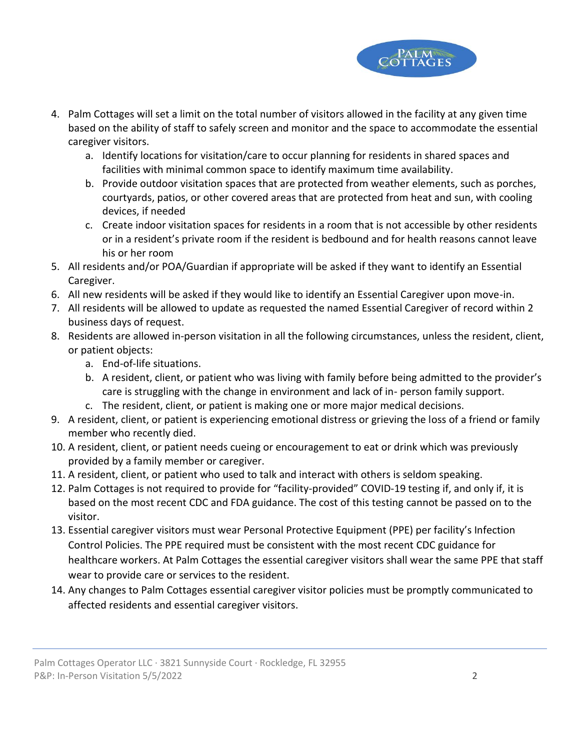

- 4. Palm Cottages will set a limit on the total number of visitors allowed in the facility at any given time based on the ability of staff to safely screen and monitor and the space to accommodate the essential caregiver visitors.
	- a. Identify locations for visitation/care to occur planning for residents in shared spaces and facilities with minimal common space to identify maximum time availability.
	- b. Provide outdoor visitation spaces that are protected from weather elements, such as porches, courtyards, patios, or other covered areas that are protected from heat and sun, with cooling devices, if needed
	- c. Create indoor visitation spaces for residents in a room that is not accessible by other residents or in a resident's private room if the resident is bedbound and for health reasons cannot leave his or her room
- 5. All residents and/or POA/Guardian if appropriate will be asked if they want to identify an Essential Caregiver.
- 6. All new residents will be asked if they would like to identify an Essential Caregiver upon move-in.
- 7. All residents will be allowed to update as requested the named Essential Caregiver of record within 2 business days of request.
- 8. Residents are allowed in-person visitation in all the following circumstances, unless the resident, client, or patient objects:
	- a. End-of-life situations.
	- b. A resident, client, or patient who was living with family before being admitted to the provider's care is struggling with the change in environment and lack of in- person family support.
	- c. The resident, client, or patient is making one or more major medical decisions.
- 9. A resident, client, or patient is experiencing emotional distress or grieving the loss of a friend or family member who recently died.
- 10. A resident, client, or patient needs cueing or encouragement to eat or drink which was previously provided by a family member or caregiver.
- 11. A resident, client, or patient who used to talk and interact with others is seldom speaking.
- 12. Palm Cottages is not required to provide for "facility-provided" COVID-19 testing if, and only if, it is based on the most recent CDC and FDA guidance. The cost of this testing cannot be passed on to the visitor.
- 13. Essential caregiver visitors must wear Personal Protective Equipment (PPE) per facility's Infection Control Policies. The PPE required must be consistent with the most recent CDC guidance for healthcare workers. At Palm Cottages the essential caregiver visitors shall wear the same PPE that staff wear to provide care or services to the resident.
- 14. Any changes to Palm Cottages essential caregiver visitor policies must be promptly communicated to affected residents and essential caregiver visitors.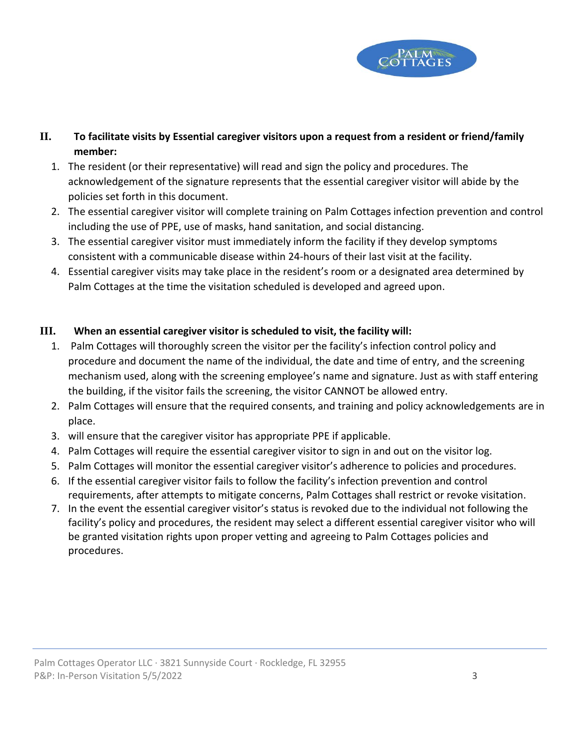

## **II. To facilitate visits by Essential caregiver visitors upon a request from a resident or friend/family member:**

- 1. The resident (or their representative) will read and sign the policy and procedures. The acknowledgement of the signature represents that the essential caregiver visitor will abide by the policies set forth in this document.
- 2. The essential caregiver visitor will complete training on Palm Cottages infection prevention and control including the use of PPE, use of masks, hand sanitation, and social distancing.
- 3. The essential caregiver visitor must immediately inform the facility if they develop symptoms consistent with a communicable disease within 24-hours of their last visit at the facility.
- 4. Essential caregiver visits may take place in the resident's room or a designated area determined by Palm Cottages at the time the visitation scheduled is developed and agreed upon.

### **III. When an essential caregiver visitor is scheduled to visit, the facility will:**

- 1. Palm Cottages will thoroughly screen the visitor per the facility's infection control policy and procedure and document the name of the individual, the date and time of entry, and the screening mechanism used, along with the screening employee's name and signature. Just as with staff entering the building, if the visitor fails the screening, the visitor CANNOT be allowed entry.
- 2. Palm Cottages will ensure that the required consents, and training and policy acknowledgements are in place.
- 3. will ensure that the caregiver visitor has appropriate PPE if applicable.
- 4. Palm Cottages will require the essential caregiver visitor to sign in and out on the visitor log.
- 5. Palm Cottages will monitor the essential caregiver visitor's adherence to policies and procedures.
- 6. If the essential caregiver visitor fails to follow the facility's infection prevention and control requirements, after attempts to mitigate concerns, Palm Cottages shall restrict or revoke visitation.
- 7. In the event the essential caregiver visitor's status is revoked due to the individual not following the facility's policy and procedures, the resident may select a different essential caregiver visitor who will be granted visitation rights upon proper vetting and agreeing to Palm Cottages policies and procedures.